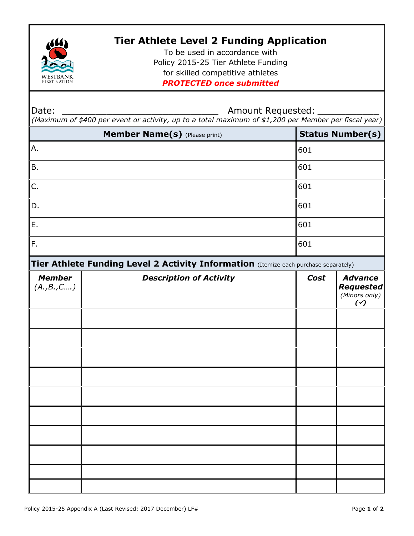

## **Tier Athlete Level 2 Funding Application**

To be used in accordance with Policy 2015-25 Tier Athlete Funding for skilled competitive athletes *PROTECTED once submitted*

Date: \_\_\_\_\_\_\_\_\_\_\_\_\_\_\_\_\_\_\_\_\_\_\_\_\_\_\_\_ Amount Requested: \_\_\_\_\_\_\_\_\_\_\_

*(Maximum of \$400 per event or activity, up to a total maximum of \$1,200 per Member per fiscal year)* 

| Member Name(s) (Please print) |                                                                                      | <b>Status Number(s)</b> |                                                          |
|-------------------------------|--------------------------------------------------------------------------------------|-------------------------|----------------------------------------------------------|
| Α.                            |                                                                                      | 601                     |                                                          |
| <b>B.</b>                     |                                                                                      | 601                     |                                                          |
| C.                            |                                                                                      | 601                     |                                                          |
| D.                            |                                                                                      | 601                     |                                                          |
| Ε.                            |                                                                                      | 601                     |                                                          |
| F.                            |                                                                                      | 601                     |                                                          |
|                               | Tier Athlete Funding Level 2 Activity Information (Itemize each purchase separately) |                         |                                                          |
| <b>Member</b><br>(A., B., C ) | <b>Description of Activity</b>                                                       | Cost                    | <b>Advance</b><br><b>Requested</b><br>(Minors only)<br>( |
|                               |                                                                                      |                         |                                                          |
|                               |                                                                                      |                         |                                                          |
|                               |                                                                                      |                         |                                                          |
|                               |                                                                                      |                         |                                                          |
|                               |                                                                                      |                         |                                                          |
|                               |                                                                                      |                         |                                                          |
|                               |                                                                                      |                         |                                                          |
|                               |                                                                                      |                         |                                                          |
|                               |                                                                                      |                         |                                                          |
|                               |                                                                                      |                         |                                                          |